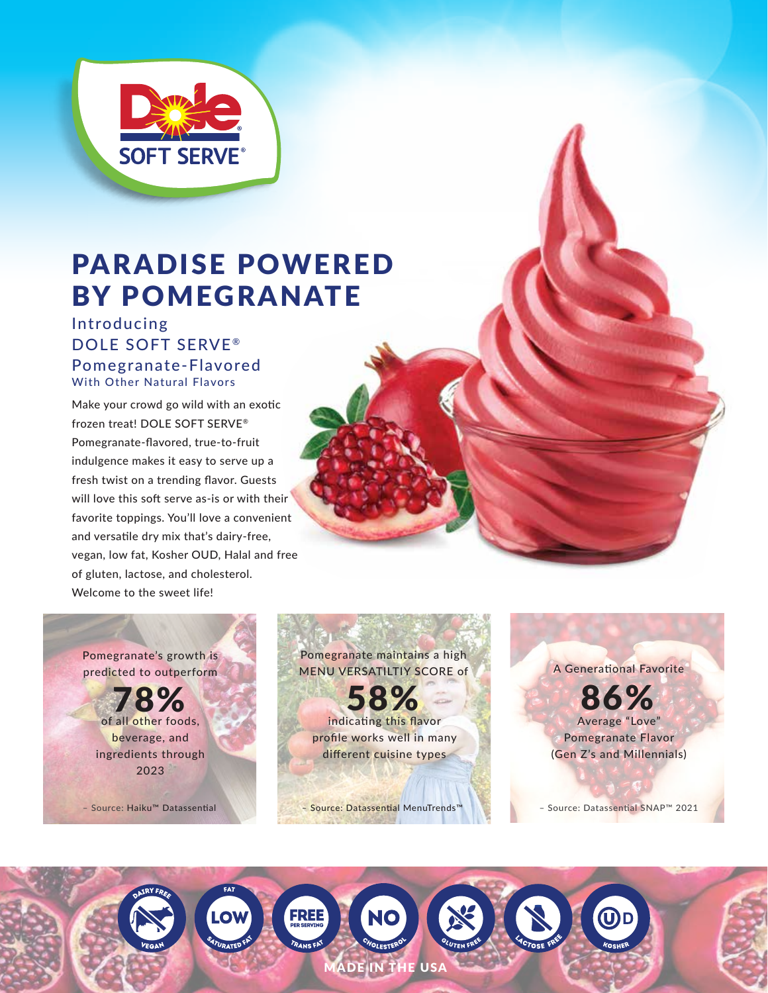

# PARADISE POWERED BY POMEGRANATE

Introducing DOLE SOFT SERVE® Pomegranate-Flavored With Other Natural Flavors

Make your crowd go wild with an exotic frozen treat! DOLE SOFT SERVE® Pomegranate-flavored, true-to-fruit indulgence makes it easy to serve up a fresh twist on a trending flavor. Guests will love this soft serve as-is or with their favorite toppings. You'll love a convenient and versatile dry mix that's dairy-free, vegan, low fat, Kosher OUD, Halal and free of gluten, lactose, and cholesterol. Welcome to the sweet life!

Pomegranate's growth is predicted to outperform

of all other foods, beverage, and ingredients through 2023 78%

Pomegranate maintains a high MENU VERSATILTIY SCORE of indicating this flavor profile works well in many different cuisine types **10 ZO** 

ADE IN THE USA

**FREE** 

A Generational Favorite Average "Love" Pomegranate Flavor (Gen Z's and Millennials) 86%

– Source: Haiku™ Datassential – Source: Datassential MenuTrends™ – Source: Datassential SNAP™ 2021